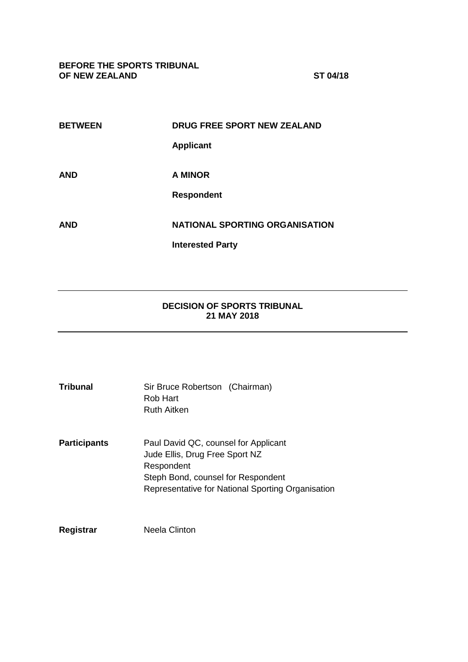**BEFORE THE SPORTS TRIBUNAL OF NEW ZEALAND ST 04/18**

| <b>DRUG FREE SPORT NEW ZEALAND</b>    |
|---------------------------------------|
| <b>Applicant</b>                      |
|                                       |
| A MINOR                               |
| <b>Respondent</b>                     |
| <b>NATIONAL SPORTING ORGANISATION</b> |
| <b>Interested Party</b>               |
|                                       |

# **DECISION OF SPORTS TRIBUNAL 21 MAY 2018**

| <b>Tribunal</b>     | Sir Bruce Robertson (Chairman)<br>Rob Hart<br>Ruth Aitken                                                                                                                       |
|---------------------|---------------------------------------------------------------------------------------------------------------------------------------------------------------------------------|
| <b>Participants</b> | Paul David QC, counsel for Applicant<br>Jude Ellis, Drug Free Sport NZ<br>Respondent<br>Steph Bond, counsel for Respondent<br>Representative for National Sporting Organisation |
| Registrar           | Neela Clinton                                                                                                                                                                   |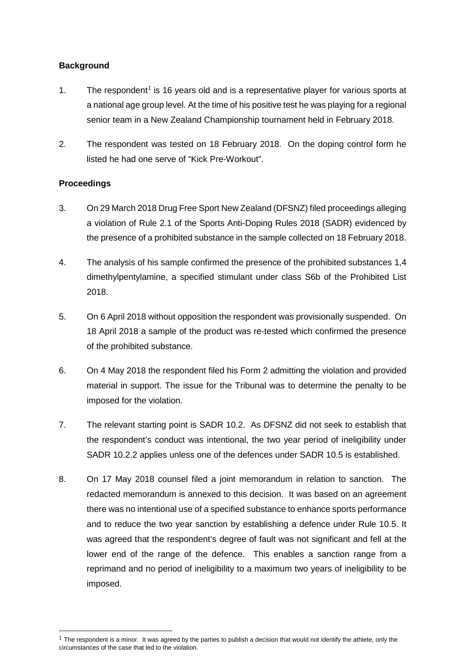## **Background**

- [1](#page-1-0). The respondent<sup>1</sup> is 16 years old and is a representative player for various sports at a national age group level. At the time of his positive test he was playing for a regional senior team in a New Zealand Championship tournament held in February 2018.
- 2. The respondent was tested on 18 February 2018. On the doping control form he listed he had one serve of "Kick Pre-Workout".

# **Proceedings**

- 3. On 29 March 2018 Drug Free Sport New Zealand (DFSNZ) filed proceedings alleging a violation of Rule 2.1 of the Sports Anti-Doping Rules 2018 (SADR) evidenced by the presence of a prohibited substance in the sample collected on 18 February 2018.
- 4. The analysis of his sample confirmed the presence of the prohibited substances 1,4 dimethylpentylamine, a specified stimulant under class S6b of the Prohibited List 2018.
- 5. On 6 April 2018 without opposition the respondent was provisionally suspended. On 18 April 2018 a sample of the product was re-tested which confirmed the presence of the prohibited substance.
- 6. On 4 May 2018 the respondent filed his Form 2 admitting the violation and provided material in support. The issue for the Tribunal was to determine the penalty to be imposed for the violation.
- 7. The relevant starting point is SADR 10.2. As DFSNZ did not seek to establish that the respondent's conduct was intentional, the two year period of ineligibility under SADR 10.2.2 applies unless one of the defences under SADR 10.5 is established.
- 8. On 17 May 2018 counsel filed a joint memorandum in relation to sanction. The redacted memorandum is annexed to this decision. It was based on an agreement there was no intentional use of a specified substance to enhance sports performance and to reduce the two year sanction by establishing a defence under Rule 10.5. It was agreed that the respondent's degree of fault was not significant and fell at the lower end of the range of the defence. This enables a sanction range from a reprimand and no period of ineligibility to a maximum two years of ineligibility to be imposed.

<span id="page-1-0"></span> $1$  The respondent is a minor. It was agreed by the parties to publish a decision that would not identify the athlete, only the circumstances of the case that led to the violation.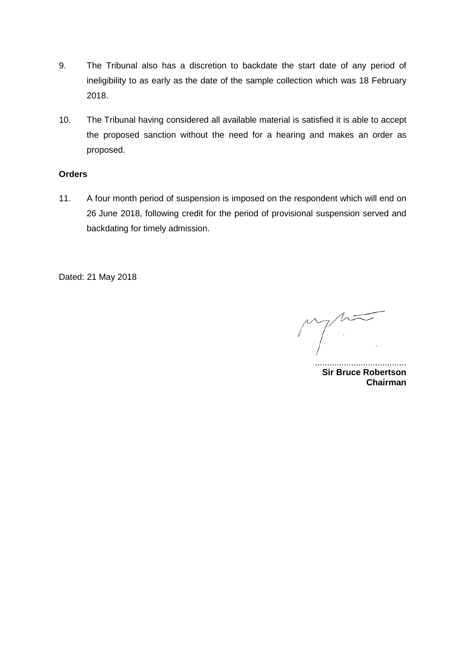- 9. The Tribunal also has a discretion to backdate the start date of any period of ineligibility to as early as the date of the sample collection which was 18 February 2018.
- 10. The Tribunal having considered all available material is satisfied it is able to accept the proposed sanction without the need for a hearing and makes an order as proposed.

## **Orders**

11. A four month period of suspension is imposed on the respondent which will end on 26 June 2018, following credit for the period of provisional suspension served and backdating for timely admission.

Dated: 21 May 2018

...................................... **Sir Bruce Robertson Chairman**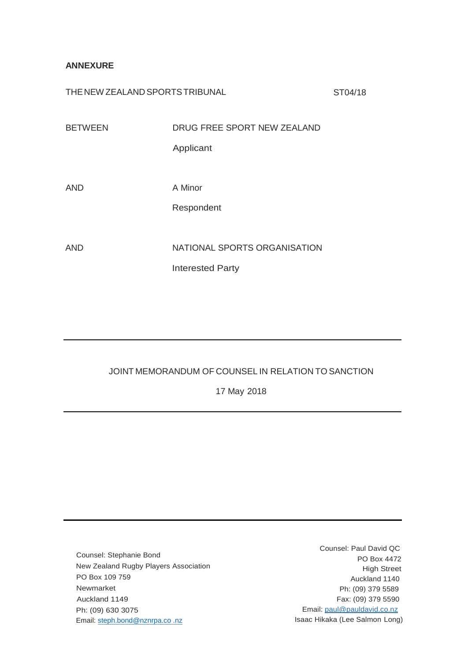## **ANNEXURE**

THE NEW ZEALAND SPORTS TRIBUNAL ST04/18

| <b>BETWEEN</b> | DRUG FREE SPORT NEW ZEALAND  |
|----------------|------------------------------|
|                | Applicant                    |
|                |                              |
| <b>AND</b>     | A Minor                      |
|                | Respondent                   |
|                |                              |
| <b>AND</b>     | NATIONAL SPORTS ORGANISATION |
|                | <b>Interested Party</b>      |

# JOINT MEMORANDUM OF COUNSEL IN RELATION TO SANCTION

17 May 2018

Counsel: Stephanie Bond New Zealand Rugby Players Association PO Box 109 759 Newmarket Auckland 1149 Ph: (09) 630 3075 Email: [steph.bond@nznrpa.co .nz](mailto:steph.bond@nznrpa.co%20.nz)

Counsel: Paul David QC PO Box 4472 High Street Auckland 1140 Ph: (09) 379 5589 Fax: (09) 379 5590 Email: [paul@pauldavid.co.nz](mailto:paul@pauldavid.co.nz) Isaac Hikaka (Lee Salmon Long)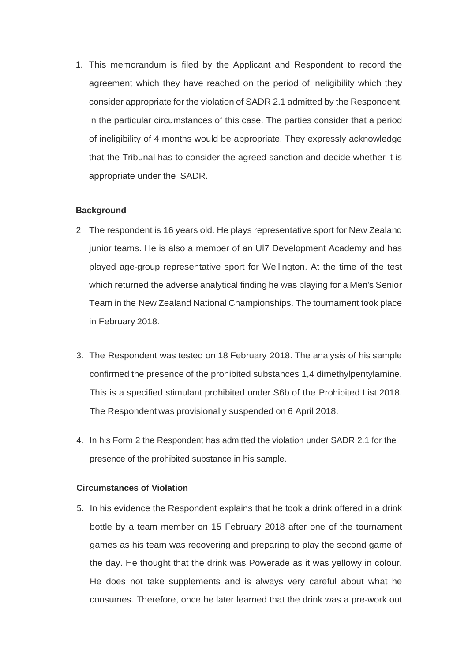1. This memorandum is filed by the Applicant and Respondent to record the agreement which they have reached on the period of ineligibility which they consider appropriate for the violation of SADR 2.1 admitted by the Respondent, in the particular circumstances of this case. The parties consider that a period of ineligibility of 4 months would be appropriate. They expressly acknowledge that the Tribunal has to consider the agreed sanction and decide whether it is appropriate under the SADR.

#### **Background**

- 2. The respondent is 16 years old. He plays representative sport for New Zealand junior teams. He is also a member of an Ul7 Development Academy and has played age-group representative sport for Wellington. At the time of the test which returned the adverse analytical finding he was playing for a Men's Senior Team in the New Zealand National Championships. The tournament took place in February 2018.
- 3. The Respondent was tested on 18 February 2018. The analysis of his sample confirmed the presence of the prohibited substances 1,4 dimethylpentylamine. This is a specified stimulant prohibited under S6b of the Prohibited List 2018. The Respondent was provisionally suspended on 6 April 2018.
- 4. In his Form 2 the Respondent has admitted the violation under SADR 2.1 for the presence of the prohibited substance in his sample.

#### **Circumstances of Violation**

5. In his evidence the Respondent explains that he took a drink offered in a drink bottle by a team member on 15 February 2018 after one of the tournament games as his team was recovering and preparing to play the second game of the day. He thought that the drink was Powerade as it was yellowy in colour. He does not take supplements and is always very careful about what he consumes. Therefore, once he later learned that the drink was a pre-work out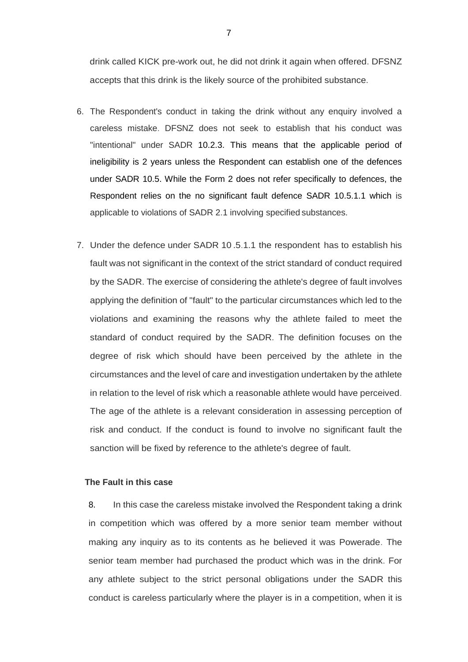drink called KICK pre-work out, he did not drink it again when offered. DFSNZ accepts that this drink is the likely source of the prohibited substance.

- 6. The Respondent's conduct in taking the drink without any enquiry involved a careless mistake. DFSNZ does not seek to establish that his conduct was "intentional" under SADR 10.2.3. This means that the applicable period of ineligibility is 2 years unless the Respondent can establish one of the defences under SADR 10.5. While the Form 2 does not refer specifically to defences, the Respondent relies on the no significant fault defence SADR 10.5.1.1 which is applicable to violations of SADR 2.1 involving specified substances.
- 7. Under the defence under SADR 10 .5.1.1 the respondent has to establish his fault was not significant in the context of the strict standard of conduct required by the SADR. The exercise of considering the athlete's degree of fault involves applying the definition of "fault" to the particular circumstances which led to the violations and examining the reasons why the athlete failed to meet the standard of conduct required by the SADR. The definition focuses on the degree of risk which should have been perceived by the athlete in the circumstances and the level of care and investigation undertaken by the athlete in relation to the level of risk which a reasonable athlete would have perceived. The age of the athlete is a relevant consideration in assessing perception of risk and conduct. If the conduct is found to involve no significant fault the sanction will be fixed by reference to the athlete's degree of fault.

### **The Fault in this case**

8. In this case the careless mistake involved the Respondent taking a drink in competition which was offered by a more senior team member without making any inquiry as to its contents as he believed it was Powerade. The senior team member had purchased the product which was in the drink. For any athlete subject to the strict personal obligations under the SADR this conduct is careless particularly where the player is in a competition, when it is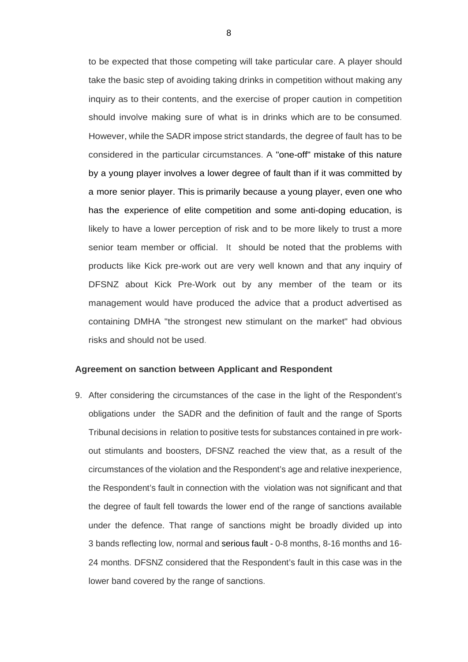to be expected that those competing will take particular care. A player should take the basic step of avoiding taking drinks in competition without making any inquiry as to their contents, and the exercise of proper caution in competition should involve making sure of what is in drinks which are to be consumed. However, while the SADR impose strict standards, the degree of fault has to be considered in the particular circumstances. A "one-off" mistake of this nature by a young player involves a lower degree of fault than if it was committed by a more senior player. This is primarily because a young player, even one who has the experience of elite competition and some anti-doping education, is likely to have a lower perception of risk and to be more likely to trust a more senior team member or official. It should be noted that the problems with products like Kick pre-work out are very well known and that any inquiry of DFSNZ about Kick Pre-Work out by any member of the team or its management would have produced the advice that a product advertised as containing DMHA "the strongest new stimulant on the market" had obvious risks and should not be used.

#### **Agreement on sanction between Applicant and Respondent**

9. After considering the circumstances of the case in the light of the Respondent's obligations under the SADR and the definition of fault and the range of Sports Tribunal decisions in relation to positive tests for substances contained in pre workout stimulants and boosters, DFSNZ reached the view that, as a result of the circumstances of the violation and the Respondent's age and relative inexperience, the Respondent's fault in connection with the violation was not significant and that the degree of fault fell towards the lower end of the range of sanctions available under the defence. That range of sanctions might be broadly divided up into 3 bands reflecting low, normal and serious fault - 0-8 months, 8-16 months and 16- 24 months. DFSNZ considered that the Respondent's fault in this case was in the lower band covered by the range of sanctions.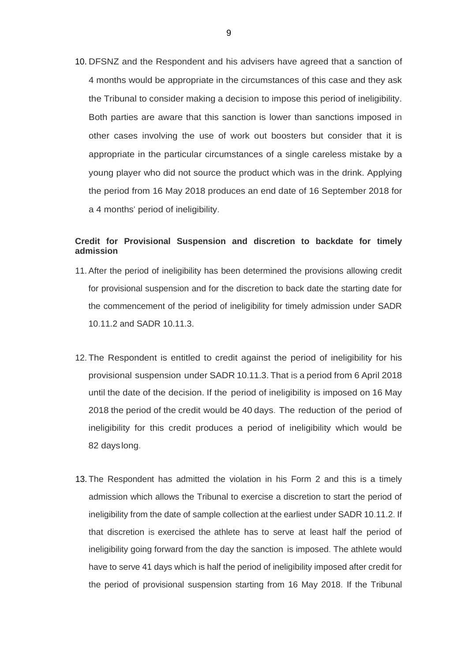10. DFSNZ and the Respondent and his advisers have agreed that a sanction of 4 months would be appropriate in the circumstances of this case and they ask the Tribunal to consider making a decision to impose this period of ineligibility. Both parties are aware that this sanction is lower than sanctions imposed in other cases involving the use of work out boosters but consider that it is appropriate in the particular circumstances of a single careless mistake by a young player who did not source the product which was in the drink. Applying the period from 16 May 2018 produces an end date of 16 September 2018 for a 4 months' period of ineligibility.

#### **Credit for Provisional Suspension and discretion to backdate for timely admission**

- 11. After the period of ineligibility has been determined the provisions allowing credit for provisional suspension and for the discretion to back date the starting date for the commencement of the period of ineligibility for timely admission under SADR 10.11.2 and SADR 10.11.3.
- 12. The Respondent is entitled to credit against the period of ineligibility for his provisional suspension under SADR 10.11.3. That is a period from 6 April 2018 until the date of the decision. If the period of ineligibility is imposed on 16 May 2018 the period of the credit would be 40 days. The reduction of the period of ineligibility for this credit produces a period of ineligibility which would be 82 dayslong.
- 13. The Respondent has admitted the violation in his Form 2 and this is a timely admission which allows the Tribunal to exercise a discretion to start the period of ineligibility from the date of sample collection at the earliest under SADR 10.11.2. If that discretion is exercised the athlete has to serve at least half the period of ineligibility going forward from the day the sanction is imposed. The athlete would have to serve 41 days which is half the period of ineligibility imposed after credit for the period of provisional suspension starting from 16 May 2018. If the Tribunal